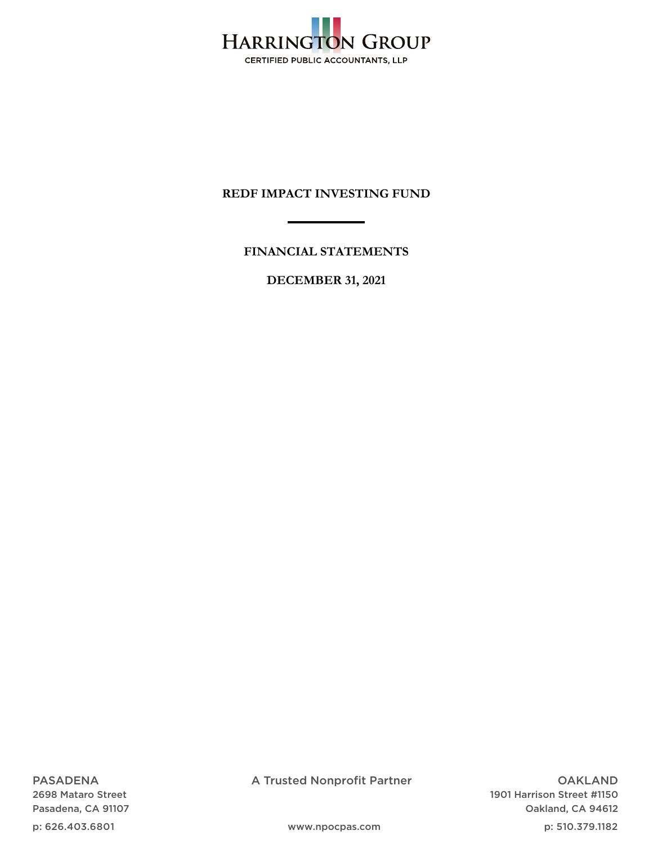

**FINANCIAL STATEMENTS** 

**DECEMBER 31, 2021** 

PASADENA 2698 Mataro Street Pasadena, CA 91107

p: 626.403.6801

A Trusted Nonprofit Partner

OAKLAND 1901 Harrison Street #1150 Oakland, CA 94612

p: 510.379.1182

www.npocpas.com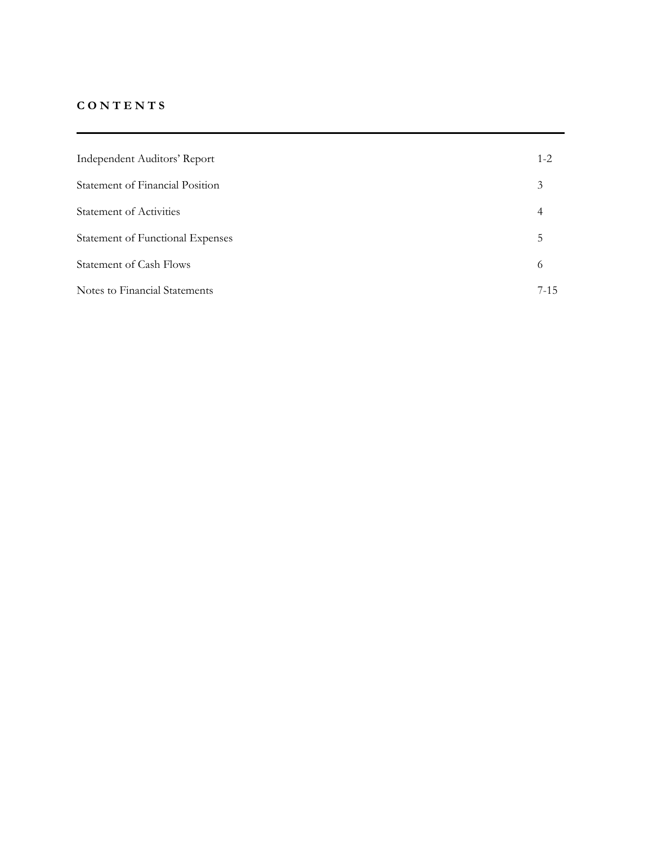## **C O N T E N T S**

| Independent Auditors' Report     | $1 - 2$ |
|----------------------------------|---------|
| Statement of Financial Position  | 3       |
| <b>Statement of Activities</b>   | 4       |
| Statement of Functional Expenses | 5       |
| <b>Statement of Cash Flows</b>   | 6       |
| Notes to Financial Statements    | $7-15$  |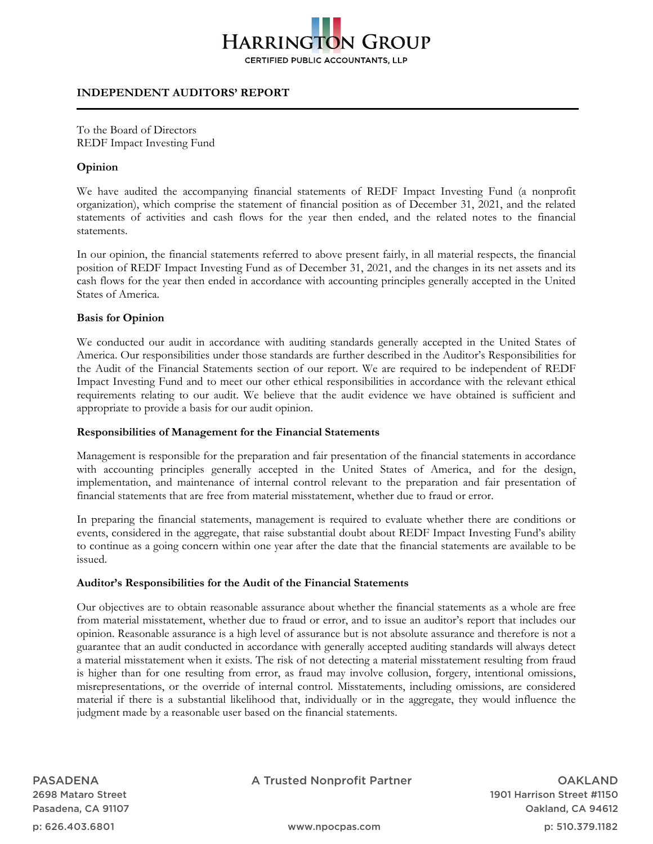

## **INDEPENDENT AUDITORS' REPORT**

To the Board of Directors REDF Impact Investing Fund

## **Opinion**

We have audited the accompanying financial statements of REDF Impact Investing Fund (a nonprofit organization), which comprise the statement of financial position as of December 31, 2021, and the related statements of activities and cash flows for the year then ended, and the related notes to the financial statements.

In our opinion, the financial statements referred to above present fairly, in all material respects, the financial position of REDF Impact Investing Fund as of December 31, 2021, and the changes in its net assets and its cash flows for the year then ended in accordance with accounting principles generally accepted in the United States of America.

#### **Basis for Opinion**

We conducted our audit in accordance with auditing standards generally accepted in the United States of America. Our responsibilities under those standards are further described in the Auditor's Responsibilities for the Audit of the Financial Statements section of our report. We are required to be independent of REDF Impact Investing Fund and to meet our other ethical responsibilities in accordance with the relevant ethical requirements relating to our audit. We believe that the audit evidence we have obtained is sufficient and appropriate to provide a basis for our audit opinion.

#### **Responsibilities of Management for the Financial Statements**

Management is responsible for the preparation and fair presentation of the financial statements in accordance with accounting principles generally accepted in the United States of America, and for the design, implementation, and maintenance of internal control relevant to the preparation and fair presentation of financial statements that are free from material misstatement, whether due to fraud or error.

In preparing the financial statements, management is required to evaluate whether there are conditions or events, considered in the aggregate, that raise substantial doubt about REDF Impact Investing Fund's ability to continue as a going concern within one year after the date that the financial statements are available to be issued.

#### **Auditor's Responsibilities for the Audit of the Financial Statements**

Our objectives are to obtain reasonable assurance about whether the financial statements as a whole are free from material misstatement, whether due to fraud or error, and to issue an auditor's report that includes our opinion. Reasonable assurance is a high level of assurance but is not absolute assurance and therefore is not a guarantee that an audit conducted in accordance with generally accepted auditing standards will always detect a material misstatement when it exists. The risk of not detecting a material misstatement resulting from fraud is higher than for one resulting from error, as fraud may involve collusion, forgery, intentional omissions, misrepresentations, or the override of internal control. Misstatements, including omissions, are considered material if there is a substantial likelihood that, individually or in the aggregate, they would influence the judgment made by a reasonable user based on the financial statements.

PASADENA 2698 Mataro Street Pasadena, CA 91107

p: 626.403.6801

A Trusted Nonprofit Partner

OAKLAND 1901 Harrison Street #1150 Oakland, CA 94612

p: 510.379.1182

www.npocpas.com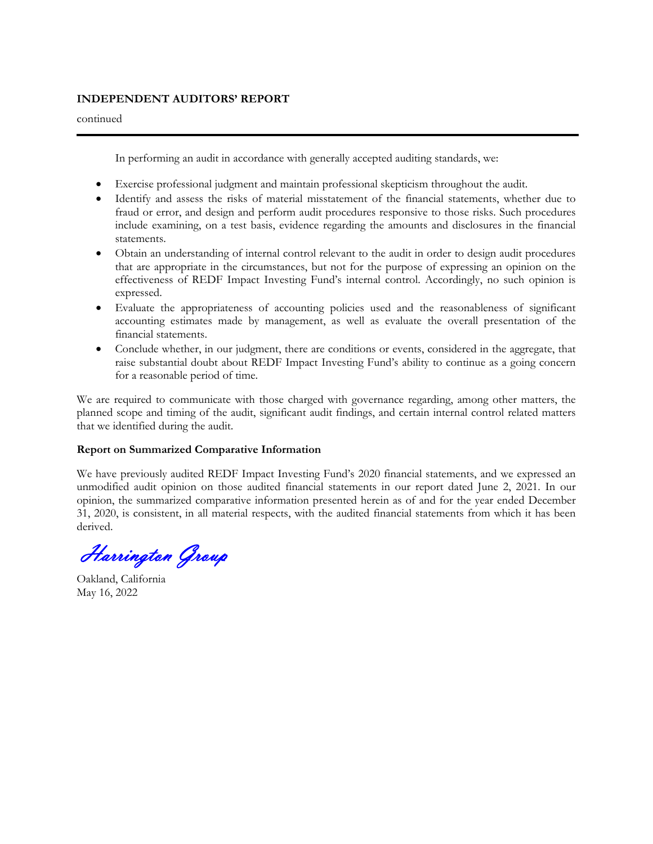## **INDEPENDENT AUDITORS' REPORT**

continued

In performing an audit in accordance with generally accepted auditing standards, we:

- Exercise professional judgment and maintain professional skepticism throughout the audit.
- Identify and assess the risks of material misstatement of the financial statements, whether due to fraud or error, and design and perform audit procedures responsive to those risks. Such procedures include examining, on a test basis, evidence regarding the amounts and disclosures in the financial statements.
- Obtain an understanding of internal control relevant to the audit in order to design audit procedures that are appropriate in the circumstances, but not for the purpose of expressing an opinion on the effectiveness of REDF Impact Investing Fund's internal control. Accordingly, no such opinion is expressed.
- Evaluate the appropriateness of accounting policies used and the reasonableness of significant accounting estimates made by management, as well as evaluate the overall presentation of the financial statements.
- Conclude whether, in our judgment, there are conditions or events, considered in the aggregate, that raise substantial doubt about REDF Impact Investing Fund's ability to continue as a going concern for a reasonable period of time.

We are required to communicate with those charged with governance regarding, among other matters, the planned scope and timing of the audit, significant audit findings, and certain internal control related matters that we identified during the audit.

## **Report on Summarized Comparative Information**

We have previously audited REDF Impact Investing Fund's 2020 financial statements, and we expressed an unmodified audit opinion on those audited financial statements in our report dated June 2, 2021. In our opinion, the summarized comparative information presented herein as of and for the year ended December 31, 2020, is consistent, in all material respects, with the audited financial statements from which it has been derived.

Harrington Group

Oakland, California May 16, 2022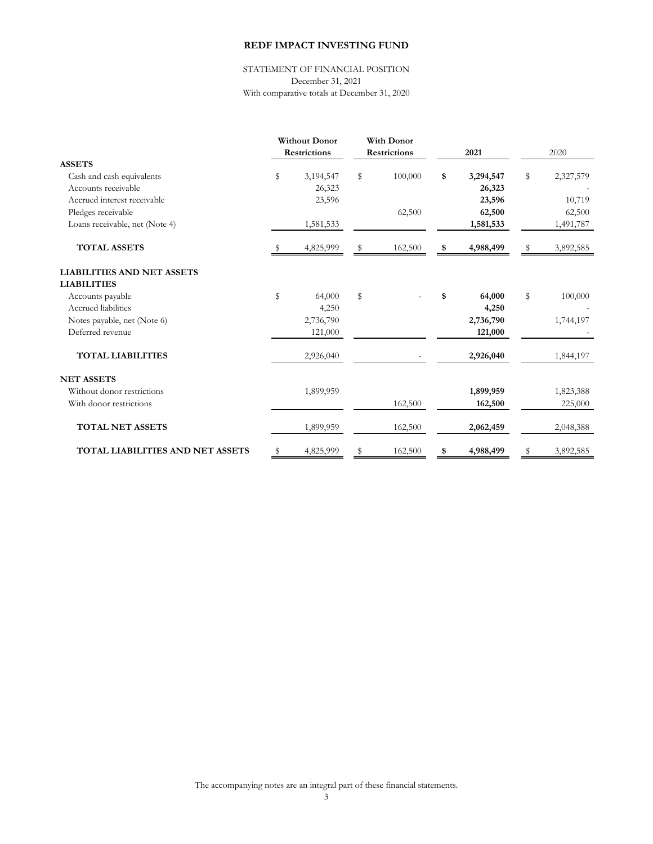STATEMENT OF FINANCIAL POSITION December 31, 2021 With comparative totals at December 31, 2020

|                                         |    | <b>Without Donor</b> | <b>With Donor</b>   |                 |                 |
|-----------------------------------------|----|----------------------|---------------------|-----------------|-----------------|
|                                         |    | <b>Restrictions</b>  | <b>Restrictions</b> | 2021            | 2020            |
| <b>ASSETS</b>                           |    |                      |                     |                 |                 |
| Cash and cash equivalents               | \$ | 3,194,547            | \$<br>100,000       | \$<br>3,294,547 | \$<br>2,327,579 |
| Accounts receivable                     |    | 26,323               |                     | 26,323          |                 |
| Accrued interest receivable             |    | 23,596               |                     | 23,596          | 10,719          |
| Pledges receivable                      |    |                      | 62,500              | 62,500          | 62,500          |
| Loans receivable, net (Note 4)          |    | 1,581,533            |                     | 1,581,533       | 1,491,787       |
| <b>TOTAL ASSETS</b>                     | -S | 4,825,999            | \$<br>162,500       | \$<br>4,988,499 | \$<br>3,892,585 |
| <b>LIABILITIES AND NET ASSETS</b>       |    |                      |                     |                 |                 |
| <b>LIABILITIES</b>                      |    |                      |                     |                 |                 |
| Accounts payable                        | \$ | 64,000               | \$                  | \$<br>64,000    | \$<br>100,000   |
| Accrued liabilities                     |    | 4,250                |                     | 4,250           |                 |
| Notes payable, net (Note 6)             |    | 2,736,790            |                     | 2,736,790       | 1,744,197       |
| Deferred revenue                        |    | 121,000              |                     | 121,000         |                 |
| <b>TOTAL LIABILITIES</b>                |    | 2,926,040            |                     | 2,926,040       | 1,844,197       |
| <b>NET ASSETS</b>                       |    |                      |                     |                 |                 |
| Without donor restrictions              |    | 1,899,959            |                     | 1,899,959       | 1,823,388       |
| With donor restrictions                 |    |                      | 162,500             | 162,500         | 225,000         |
| <b>TOTAL NET ASSETS</b>                 |    | 1,899,959            | 162,500             | 2,062,459       | 2,048,388       |
| <b>TOTAL LIABILITIES AND NET ASSETS</b> | \$ | 4,825,999            | \$<br>162,500       | \$<br>4,988,499 | \$<br>3,892,585 |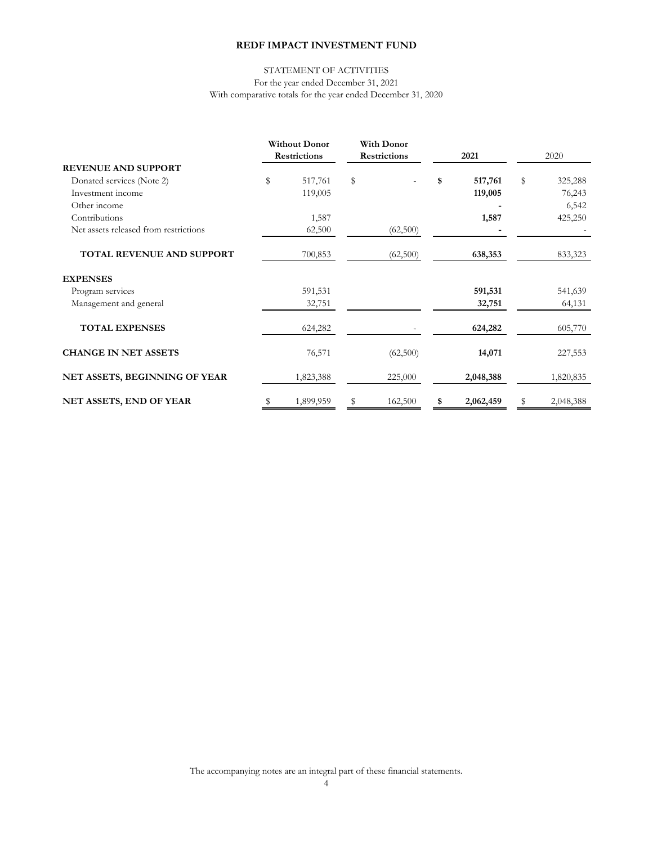#### With comparative totals for the year ended December 31, 2020 STATEMENT OF ACTIVITIES For the year ended December 31, 2021

|                                       | <b>Without Donor</b> |           |                     |          |      | With Donor |      |           |  |  |
|---------------------------------------|----------------------|-----------|---------------------|----------|------|------------|------|-----------|--|--|
|                                       | <b>Restrictions</b>  |           | <b>Restrictions</b> |          | 2021 |            | 2020 |           |  |  |
| <b>REVENUE AND SUPPORT</b>            |                      |           |                     |          |      |            |      |           |  |  |
| Donated services (Note 2)             | \$                   | 517,761   | \$                  |          | \$   | 517,761    | \$   | 325,288   |  |  |
| Investment income                     |                      | 119,005   |                     |          |      | 119,005    |      | 76,243    |  |  |
| Other income                          |                      |           |                     |          |      |            |      | 6,542     |  |  |
| Contributions                         |                      | 1,587     |                     |          |      | 1,587      |      | 425,250   |  |  |
| Net assets released from restrictions |                      | 62,500    |                     | (62,500) |      |            |      |           |  |  |
| TOTAL REVENUE AND SUPPORT             |                      | 700,853   |                     | (62,500) |      | 638,353    |      | 833,323   |  |  |
| <b>EXPENSES</b>                       |                      |           |                     |          |      |            |      |           |  |  |
| Program services                      |                      | 591,531   |                     |          |      | 591,531    |      | 541,639   |  |  |
| Management and general                |                      | 32,751    |                     |          |      | 32,751     |      | 64,131    |  |  |
| <b>TOTAL EXPENSES</b>                 |                      | 624,282   |                     |          |      | 624,282    |      | 605,770   |  |  |
| <b>CHANGE IN NET ASSETS</b>           |                      | 76,571    |                     | (62,500) |      | 14,071     |      | 227,553   |  |  |
| NET ASSETS, BEGINNING OF YEAR         |                      | 1,823,388 |                     | 225,000  |      | 2,048,388  |      | 1,820,835 |  |  |
| <b>NET ASSETS, END OF YEAR</b>        | \$                   | 1,899,959 | S                   | 162,500  | \$   | 2,062,459  | S    | 2,048,388 |  |  |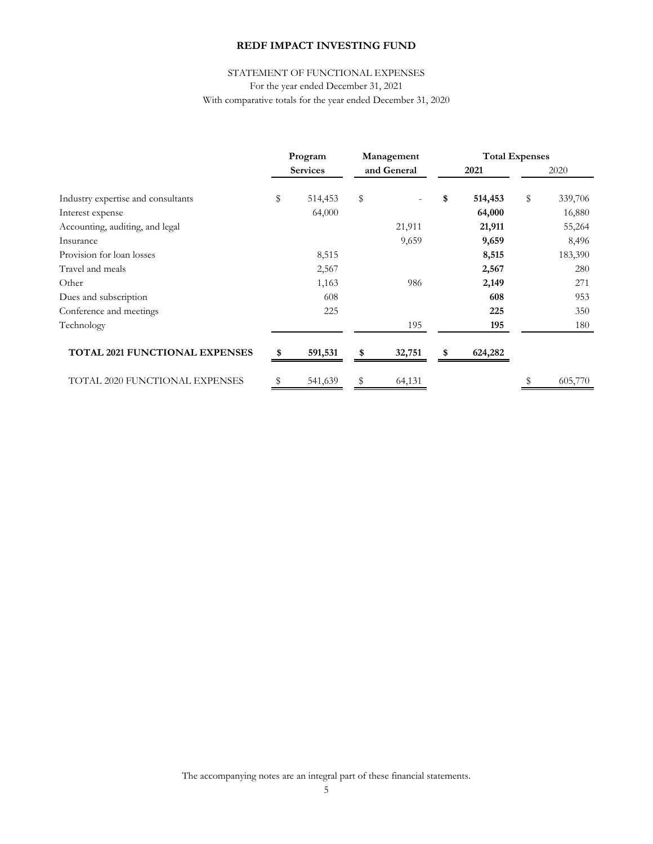## STATEMENT OF FUNCTIONAL EXPENSES

For the year ended December 31, 2021

With comparative totals for the year ended December 31, 2020

|                                    | Program |                 | Management |             | <b>Total Expenses</b> |         |    |         |
|------------------------------------|---------|-----------------|------------|-------------|-----------------------|---------|----|---------|
|                                    |         | <b>Services</b> |            | and General |                       | 2021    |    | 2020    |
| Industry expertise and consultants | \$      | 514,453         | \$         |             | \$                    | 514,453 | \$ | 339,706 |
| Interest expense                   |         | 64,000          |            |             |                       | 64,000  |    | 16,880  |
| Accounting, auditing, and legal    |         |                 |            | 21,911      |                       | 21,911  |    | 55,264  |
| Insurance                          |         |                 |            | 9,659       |                       | 9,659   |    | 8,496   |
| Provision for loan losses          |         | 8,515           |            |             |                       | 8,515   |    | 183,390 |
| Travel and meals                   |         | 2,567           |            |             |                       | 2,567   |    | 280     |
| Other                              |         | 1,163           |            | 986         |                       | 2,149   |    | 271     |
| Dues and subscription              |         | 608             |            |             |                       | 608     |    | 953     |
| Conference and meetings            |         | 225             |            |             |                       | 225     |    | 350     |
| Technology                         |         |                 |            | 195         |                       | 195     |    | 180     |
| TOTAL 2021 FUNCTIONAL EXPENSES     |         | 591,531         | \$         | 32,751      | \$                    | 624,282 |    |         |
| TOTAL 2020 FUNCTIONAL EXPENSES     | S       | 541,639         | \$         | 64,131      |                       |         | \$ | 605,770 |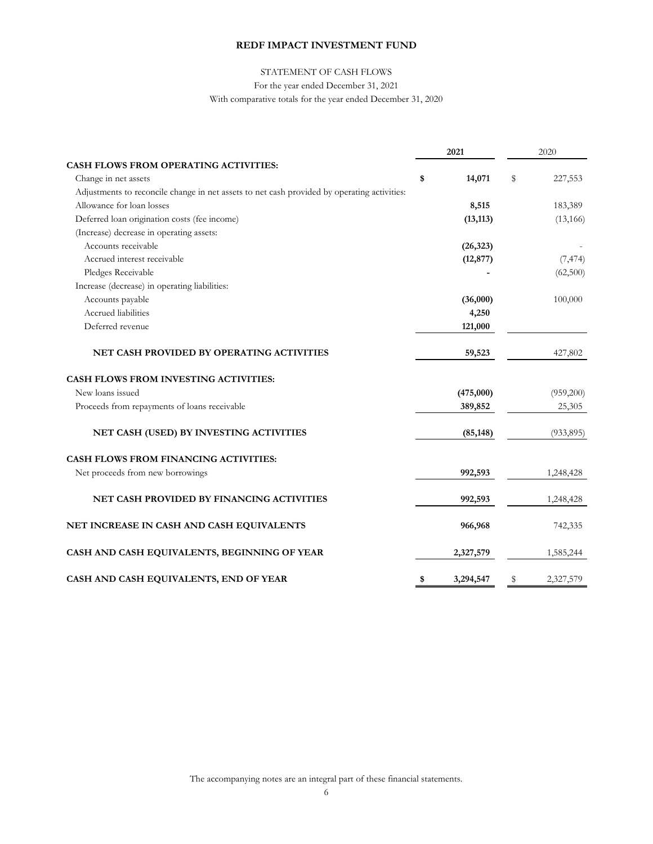## STATEMENT OF CASH FLOWS

For the year ended December 31, 2021

With comparative totals for the year ended December 31, 2020

|                                                                                             | 2021            | 2020            |
|---------------------------------------------------------------------------------------------|-----------------|-----------------|
| <b>CASH FLOWS FROM OPERATING ACTIVITIES:</b>                                                |                 |                 |
| Change in net assets                                                                        | \$<br>14,071    | \$<br>227,553   |
| Adjustments to reconcile change in net assets to net cash provided by operating activities: |                 |                 |
| Allowance for loan losses                                                                   | 8,515           | 183,389         |
| Deferred loan origination costs (fee income)                                                | (13, 113)       | (13, 166)       |
| (Increase) decrease in operating assets:                                                    |                 |                 |
| Accounts receivable                                                                         | (26, 323)       |                 |
| Accrued interest receivable                                                                 | (12, 877)       | (7, 474)        |
| Pledges Receivable                                                                          |                 | (62,500)        |
| Increase (decrease) in operating liabilities:                                               |                 |                 |
| Accounts payable                                                                            | (36,000)        | 100,000         |
| Accrued liabilities                                                                         | 4,250           |                 |
| Deferred revenue                                                                            | 121,000         |                 |
| NET CASH PROVIDED BY OPERATING ACTIVITIES                                                   | 59,523          | 427,802         |
| <b>CASH FLOWS FROM INVESTING ACTIVITIES:</b>                                                |                 |                 |
| New loans issued                                                                            | (475,000)       | (959,200)       |
| Proceeds from repayments of loans receivable                                                | 389,852         | 25,305          |
| NET CASH (USED) BY INVESTING ACTIVITIES                                                     | (85, 148)       | (933, 895)      |
| <b>CASH FLOWS FROM FINANCING ACTIVITIES:</b>                                                |                 |                 |
| Net proceeds from new borrowings                                                            | 992,593         | 1,248,428       |
| NET CASH PROVIDED BY FINANCING ACTIVITIES                                                   | 992,593         | 1,248,428       |
| NET INCREASE IN CASH AND CASH EQUIVALENTS                                                   | 966,968         | 742,335         |
| CASH AND CASH EQUIVALENTS, BEGINNING OF YEAR                                                | 2,327,579       | 1,585,244       |
| CASH AND CASH EQUIVALENTS, END OF YEAR                                                      | \$<br>3,294,547 | \$<br>2,327,579 |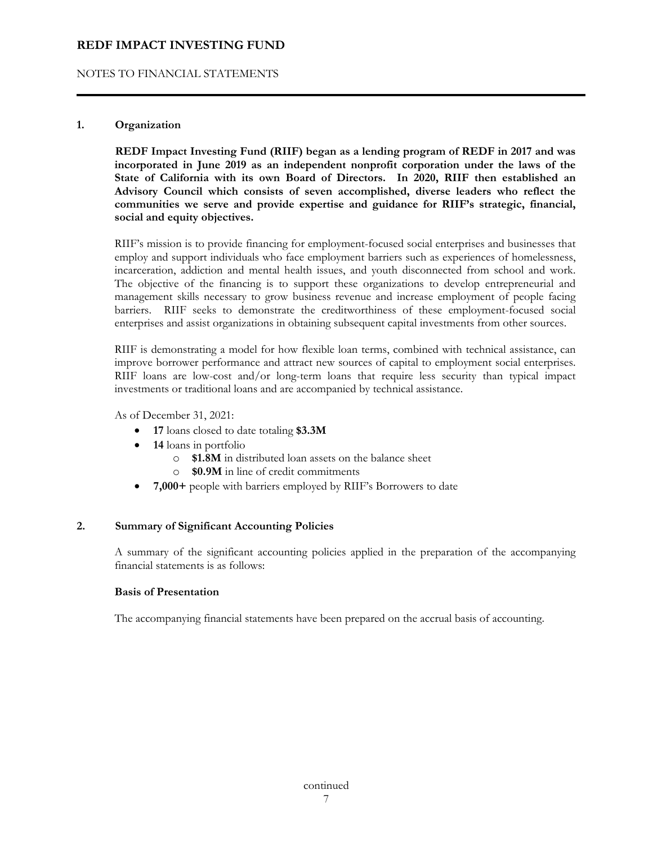## NOTES TO FINANCIAL STATEMENTS

## **1. Organization**

**REDF Impact Investing Fund (RIIF) began as a lending program of REDF in 2017 and was incorporated in June 2019 as an independent nonprofit corporation under the laws of the State of California with its own Board of Directors. In 2020, RIIF then established an Advisory Council which consists of seven accomplished, diverse leaders who reflect the communities we serve and provide expertise and guidance for RIIF's strategic, financial, social and equity objectives.** 

 RIIF's mission is to provide financing for employment-focused social enterprises and businesses that employ and support individuals who face employment barriers such as experiences of homelessness, incarceration, addiction and mental health issues, and youth disconnected from school and work. The objective of the financing is to support these organizations to develop entrepreneurial and management skills necessary to grow business revenue and increase employment of people facing barriers. RIIF seeks to demonstrate the creditworthiness of these employment-focused social enterprises and assist organizations in obtaining subsequent capital investments from other sources.

 RIIF is demonstrating a model for how flexible loan terms, combined with technical assistance, can improve borrower performance and attract new sources of capital to employment social enterprises. RIIF loans are low-cost and/or long-term loans that require less security than typical impact investments or traditional loans and are accompanied by technical assistance.

As of December 31, 2021:

- **17** loans closed to date totaling **\$3.3M**
- **14** loans in portfolio
	- o **\$1.8M** in distributed loan assets on the balance sheet
	- o **\$0.9M** in line of credit commitments
- **7,000+** people with barriers employed by RIIF's Borrowers to date

#### **2. Summary of Significant Accounting Policies**

 A summary of the significant accounting policies applied in the preparation of the accompanying financial statements is as follows:

#### **Basis of Presentation**

The accompanying financial statements have been prepared on the accrual basis of accounting.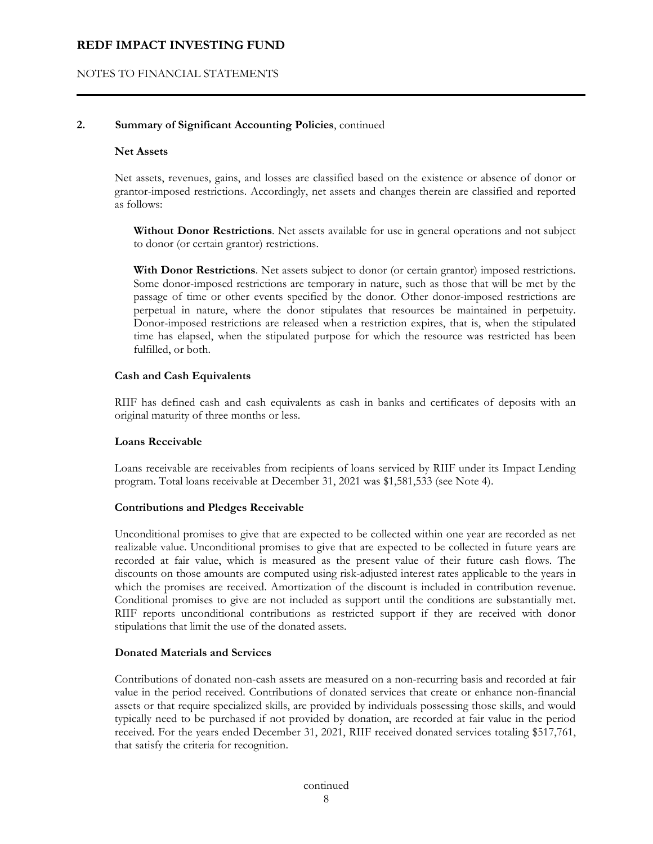## NOTES TO FINANCIAL STATEMENTS

### **2. Summary of Significant Accounting Policies**, continued

#### **Net Assets**

 Net assets, revenues, gains, and losses are classified based on the existence or absence of donor or grantor-imposed restrictions. Accordingly, net assets and changes therein are classified and reported as follows:

**Without Donor Restrictions**. Net assets available for use in general operations and not subject to donor (or certain grantor) restrictions.

**With Donor Restrictions**. Net assets subject to donor (or certain grantor) imposed restrictions. Some donor-imposed restrictions are temporary in nature, such as those that will be met by the passage of time or other events specified by the donor. Other donor-imposed restrictions are perpetual in nature, where the donor stipulates that resources be maintained in perpetuity. Donor-imposed restrictions are released when a restriction expires, that is, when the stipulated time has elapsed, when the stipulated purpose for which the resource was restricted has been fulfilled, or both.

#### **Cash and Cash Equivalents**

 RIIF has defined cash and cash equivalents as cash in banks and certificates of deposits with an original maturity of three months or less.

#### **Loans Receivable**

 Loans receivable are receivables from recipients of loans serviced by RIIF under its Impact Lending program. Total loans receivable at December 31, 2021 was \$1,581,533 (see Note 4).

#### **Contributions and Pledges Receivable**

 Unconditional promises to give that are expected to be collected within one year are recorded as net realizable value. Unconditional promises to give that are expected to be collected in future years are recorded at fair value, which is measured as the present value of their future cash flows. The discounts on those amounts are computed using risk-adjusted interest rates applicable to the years in which the promises are received. Amortization of the discount is included in contribution revenue. Conditional promises to give are not included as support until the conditions are substantially met. RIIF reports unconditional contributions as restricted support if they are received with donor stipulations that limit the use of the donated assets.

#### **Donated Materials and Services**

 Contributions of donated non-cash assets are measured on a non-recurring basis and recorded at fair value in the period received. Contributions of donated services that create or enhance non-financial assets or that require specialized skills, are provided by individuals possessing those skills, and would typically need to be purchased if not provided by donation, are recorded at fair value in the period received. For the years ended December 31, 2021, RIIF received donated services totaling \$517,761, that satisfy the criteria for recognition.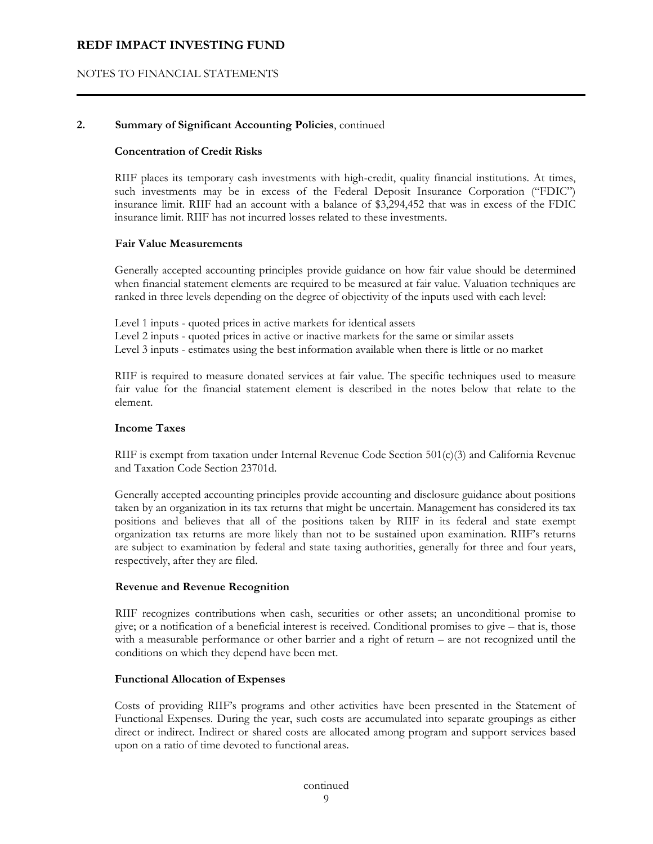## NOTES TO FINANCIAL STATEMENTS

### **2. Summary of Significant Accounting Policies**, continued

#### **Concentration of Credit Risks**

 RIIF places its temporary cash investments with high-credit, quality financial institutions. At times, such investments may be in excess of the Federal Deposit Insurance Corporation ("FDIC") insurance limit. RIIF had an account with a balance of \$3,294,452 that was in excess of the FDIC insurance limit. RIIF has not incurred losses related to these investments.

#### **Fair Value Measurements**

Generally accepted accounting principles provide guidance on how fair value should be determined when financial statement elements are required to be measured at fair value. Valuation techniques are ranked in three levels depending on the degree of objectivity of the inputs used with each level:

Level 1 inputs - quoted prices in active markets for identical assets Level 2 inputs - quoted prices in active or inactive markets for the same or similar assets Level 3 inputs - estimates using the best information available when there is little or no market

 RIIF is required to measure donated services at fair value. The specific techniques used to measure fair value for the financial statement element is described in the notes below that relate to the element.

## **Income Taxes**

 RIIF is exempt from taxation under Internal Revenue Code Section 501(c)(3) and California Revenue and Taxation Code Section 23701d.

Generally accepted accounting principles provide accounting and disclosure guidance about positions taken by an organization in its tax returns that might be uncertain. Management has considered its tax positions and believes that all of the positions taken by RIIF in its federal and state exempt organization tax returns are more likely than not to be sustained upon examination. RIIF's returns are subject to examination by federal and state taxing authorities, generally for three and four years, respectively, after they are filed.

#### **Revenue and Revenue Recognition**

RIIF recognizes contributions when cash, securities or other assets; an unconditional promise to give; or a notification of a beneficial interest is received. Conditional promises to give – that is, those with a measurable performance or other barrier and a right of return – are not recognized until the conditions on which they depend have been met.

#### **Functional Allocation of Expenses**

Costs of providing RIIF's programs and other activities have been presented in the Statement of Functional Expenses. During the year, such costs are accumulated into separate groupings as either direct or indirect. Indirect or shared costs are allocated among program and support services based upon on a ratio of time devoted to functional areas.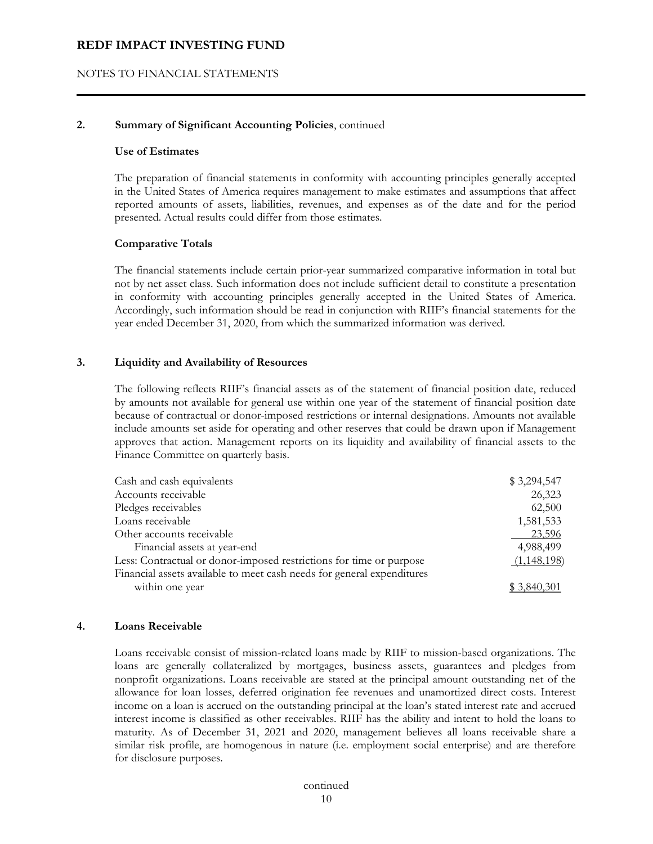#### NOTES TO FINANCIAL STATEMENTS

#### **2. Summary of Significant Accounting Policies**, continued

#### **Use of Estimates**

 The preparation of financial statements in conformity with accounting principles generally accepted in the United States of America requires management to make estimates and assumptions that affect reported amounts of assets, liabilities, revenues, and expenses as of the date and for the period presented. Actual results could differ from those estimates.

#### **Comparative Totals**

 The financial statements include certain prior-year summarized comparative information in total but not by net asset class. Such information does not include sufficient detail to constitute a presentation in conformity with accounting principles generally accepted in the United States of America. Accordingly, such information should be read in conjunction with RIIF's financial statements for the year ended December 31, 2020, from which the summarized information was derived.

#### **3. Liquidity and Availability of Resources**

 The following reflects RIIF's financial assets as of the statement of financial position date, reduced by amounts not available for general use within one year of the statement of financial position date because of contractual or donor-imposed restrictions or internal designations. Amounts not available include amounts set aside for operating and other reserves that could be drawn upon if Management approves that action. Management reports on its liquidity and availability of financial assets to the Finance Committee on quarterly basis.

| Cash and cash equivalents                                              | \$3,294,547 |
|------------------------------------------------------------------------|-------------|
| Accounts receivable                                                    | 26,323      |
| Pledges receivables                                                    | 62,500      |
| Loans receivable                                                       | 1,581,533   |
| Other accounts receivable                                              | 23,596      |
| Financial assets at year-end                                           | 4,988,499   |
| Less: Contractual or donor-imposed restrictions for time or purpose    | (1,148,198) |
| Financial assets available to meet cash needs for general expenditures |             |
| within one year                                                        | 3.840.301   |

#### **4. Loans Receivable**

 Loans receivable consist of mission-related loans made by RIIF to mission-based organizations. The loans are generally collateralized by mortgages, business assets, guarantees and pledges from nonprofit organizations. Loans receivable are stated at the principal amount outstanding net of the allowance for loan losses, deferred origination fee revenues and unamortized direct costs. Interest income on a loan is accrued on the outstanding principal at the loan's stated interest rate and accrued interest income is classified as other receivables. RIIF has the ability and intent to hold the loans to maturity. As of December 31, 2021 and 2020, management believes all loans receivable share a similar risk profile, are homogenous in nature (i.e. employment social enterprise) and are therefore for disclosure purposes.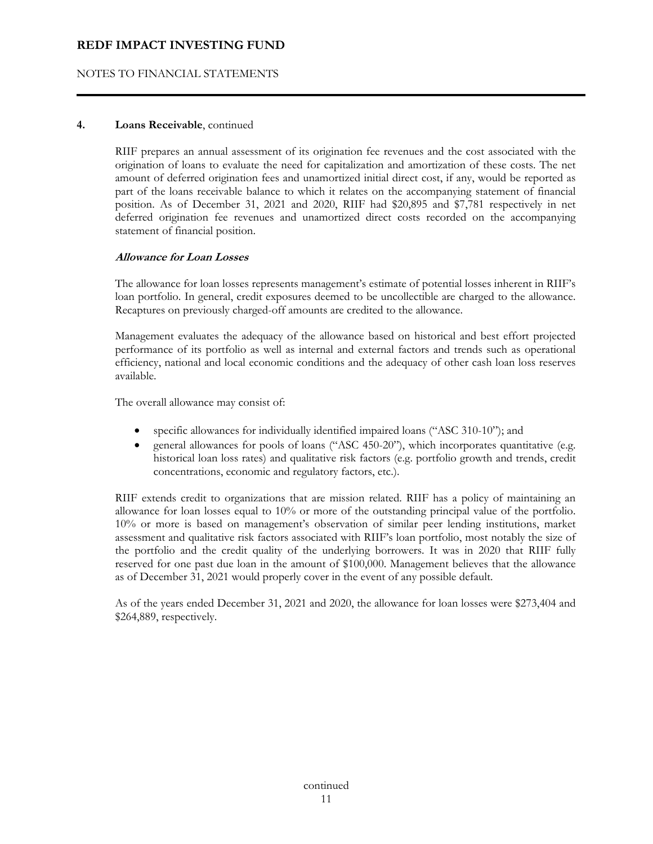## NOTES TO FINANCIAL STATEMENTS

#### **4. Loans Receivable**, continued

RIIF prepares an annual assessment of its origination fee revenues and the cost associated with the origination of loans to evaluate the need for capitalization and amortization of these costs. The net amount of deferred origination fees and unamortized initial direct cost, if any, would be reported as part of the loans receivable balance to which it relates on the accompanying statement of financial position. As of December 31, 2021 and 2020, RIIF had \$20,895 and \$7,781 respectively in net deferred origination fee revenues and unamortized direct costs recorded on the accompanying statement of financial position.

## **Allowance for Loan Losses**

The allowance for loan losses represents management's estimate of potential losses inherent in RIIF's loan portfolio. In general, credit exposures deemed to be uncollectible are charged to the allowance. Recaptures on previously charged-off amounts are credited to the allowance.

Management evaluates the adequacy of the allowance based on historical and best effort projected performance of its portfolio as well as internal and external factors and trends such as operational efficiency, national and local economic conditions and the adequacy of other cash loan loss reserves available.

The overall allowance may consist of:

- specific allowances for individually identified impaired loans ("ASC 310-10"); and
- general allowances for pools of loans ("ASC 450-20"), which incorporates quantitative (e.g. historical loan loss rates) and qualitative risk factors (e.g. portfolio growth and trends, credit concentrations, economic and regulatory factors, etc.).

RIIF extends credit to organizations that are mission related. RIIF has a policy of maintaining an allowance for loan losses equal to 10% or more of the outstanding principal value of the portfolio. 10% or more is based on management's observation of similar peer lending institutions, market assessment and qualitative risk factors associated with RIIF's loan portfolio, most notably the size of the portfolio and the credit quality of the underlying borrowers. It was in 2020 that RIIF fully reserved for one past due loan in the amount of \$100,000. Management believes that the allowance as of December 31, 2021 would properly cover in the event of any possible default.

As of the years ended December 31, 2021 and 2020, the allowance for loan losses were \$273,404 and \$264,889, respectively.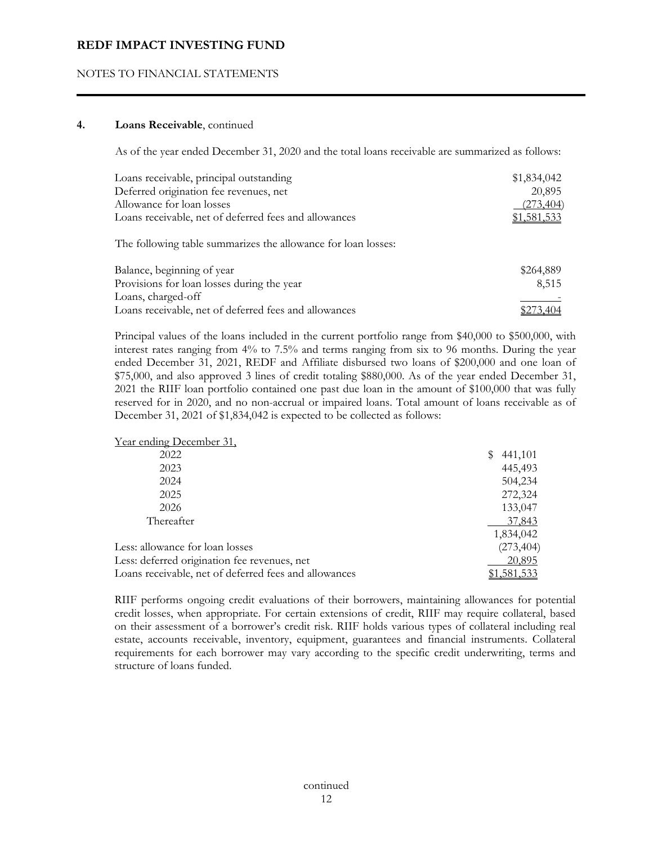## NOTES TO FINANCIAL STATEMENTS

#### **4. Loans Receivable**, continued

As of the year ended December 31, 2020 and the total loans receivable are summarized as follows:

| Loans receivable, principal outstanding               | \$1,834,042 |
|-------------------------------------------------------|-------------|
| Deferred origination fee revenues, net                | 20,895      |
| Allowance for loan losses                             | (273, 404)  |
| Loans receivable, net of deferred fees and allowances | \$1,581,533 |
|                                                       |             |

The following table summarizes the allowance for loan losses:

| Balance, beginning of year                            | \$264,889 |
|-------------------------------------------------------|-----------|
| Provisions for loan losses during the year            | 8.515     |
| Loans, charged-off                                    |           |
| Loans receivable, net of deferred fees and allowances | \$273,404 |

Principal values of the loans included in the current portfolio range from \$40,000 to \$500,000, with interest rates ranging from 4% to 7.5% and terms ranging from six to 96 months. During the year ended December 31, 2021, REDF and Affiliate disbursed two loans of \$200,000 and one loan of \$75,000, and also approved 3 lines of credit totaling \$880,000. As of the year ended December 31, 2021 the RIIF loan portfolio contained one past due loan in the amount of \$100,000 that was fully reserved for in 2020, and no non-accrual or impaired loans. Total amount of loans receivable as of December 31, 2021 of \$1,834,042 is expected to be collected as follows:

| Year ending December 31,                              |                  |
|-------------------------------------------------------|------------------|
| 2022                                                  | S<br>441,101     |
| 2023                                                  | 445,493          |
| 2024                                                  | 504,234          |
| 2025                                                  | 272,324          |
| 2026                                                  | 133,047          |
| Thereafter                                            | 37,843           |
|                                                       | 1,834,042        |
| Less: allowance for loan losses                       | (273, 404)       |
| Less: deferred origination fee revenues, net          | <u>20,895</u>    |
| Loans receivable, net of deferred fees and allowances | <u>1,581,533</u> |

RIIF performs ongoing credit evaluations of their borrowers, maintaining allowances for potential credit losses, when appropriate. For certain extensions of credit, RIIF may require collateral, based on their assessment of a borrower's credit risk. RIIF holds various types of collateral including real estate, accounts receivable, inventory, equipment, guarantees and financial instruments. Collateral requirements for each borrower may vary according to the specific credit underwriting, terms and structure of loans funded.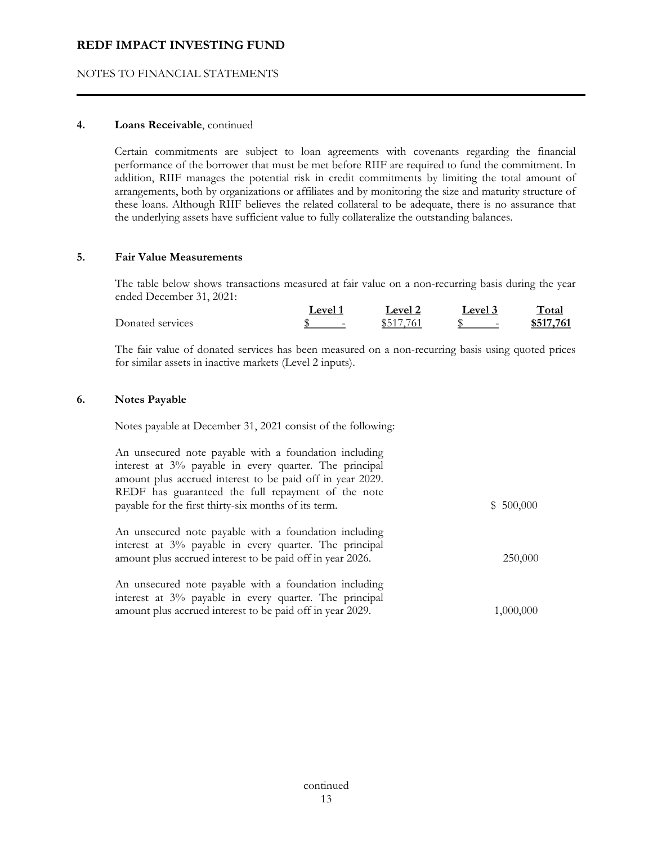## NOTES TO FINANCIAL STATEMENTS

## **4. Loans Receivable**, continued

Certain commitments are subject to loan agreements with covenants regarding the financial performance of the borrower that must be met before RIIF are required to fund the commitment. In addition, RIIF manages the potential risk in credit commitments by limiting the total amount of arrangements, both by organizations or affiliates and by monitoring the size and maturity structure of these loans. Although RIIF believes the related collateral to be adequate, there is no assurance that the underlying assets have sufficient value to fully collateralize the outstanding balances.

#### **5. Fair Value Measurements**

The table below shows transactions measured at fair value on a non-recurring basis during the year ended December 31, 2021:

|                  | $_{\text{evel}}$         | $\rho$ | PTP                      | `otar     |
|------------------|--------------------------|--------|--------------------------|-----------|
| Donated services | $\overline{\phantom{0}}$ |        | $\overline{\phantom{0}}$ | \$517,761 |

The fair value of donated services has been measured on a non-recurring basis using quoted prices for similar assets in inactive markets (Level 2 inputs).

## **6. Notes Payable**

Notes payable at December 31, 2021 consist of the following:

|            | An unsecured note payable with a foundation including     |  |
|------------|-----------------------------------------------------------|--|
|            | interest at 3% payable in every quarter. The principal    |  |
|            | amount plus accrued interest to be paid off in year 2029. |  |
|            | REDF has guaranteed the full repayment of the note        |  |
| \$ 500,000 | payable for the first thirty-six months of its term.      |  |
|            |                                                           |  |
|            | An unsecured note payable with a foundation including     |  |
|            | interest at 3% payable in every quarter. The principal    |  |
| 250,000    | amount plus accrued interest to be paid off in year 2026. |  |
|            |                                                           |  |
|            | An unsecured note payable with a foundation including     |  |
|            | interest at 3% payable in every quarter. The principal    |  |
| 1,000,000  | amount plus accrued interest to be paid off in year 2029. |  |
|            |                                                           |  |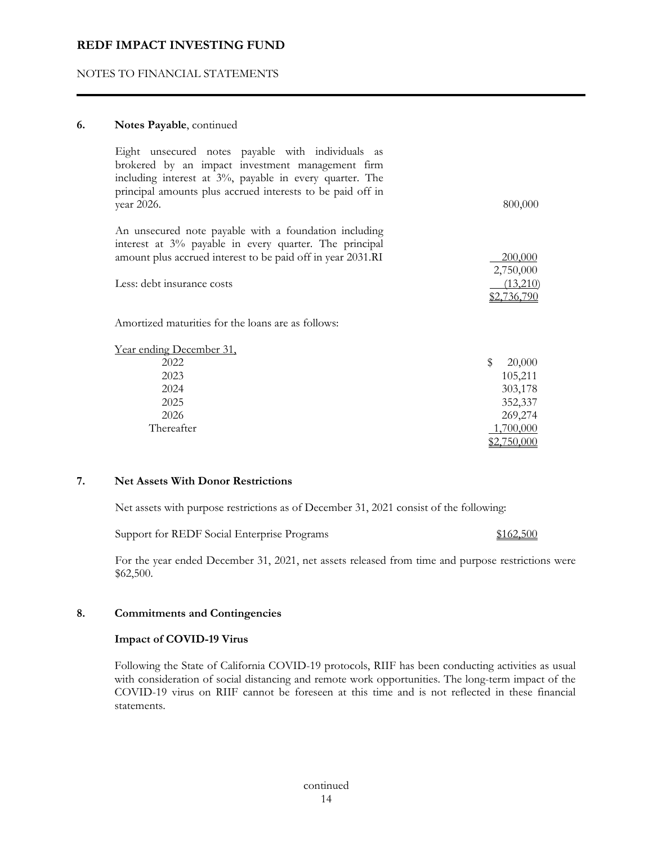## NOTES TO FINANCIAL STATEMENTS

## **6. Notes Payable**, continued

| year 2026.                 | Eight unsecured notes payable with individuals as<br>brokered by an impact investment management firm<br>including interest at 3%, payable in every quarter. The<br>principal amounts plus accrued interests to be paid off in |                    | 800,000  |
|----------------------------|--------------------------------------------------------------------------------------------------------------------------------------------------------------------------------------------------------------------------------|--------------------|----------|
|                            |                                                                                                                                                                                                                                |                    |          |
|                            | An unsecured note payable with a foundation including<br>interest at 3% payable in every quarter. The principal                                                                                                                |                    |          |
|                            | amount plus accrued interest to be paid off in year 2031.RI                                                                                                                                                                    |                    | 200,000  |
|                            |                                                                                                                                                                                                                                | 2,750,000          |          |
| Less: debt insurance costs |                                                                                                                                                                                                                                |                    | (13,210) |
|                            |                                                                                                                                                                                                                                | <u>\$2,736,790</u> |          |
|                            | Amortized maturities for the loans are as follows:                                                                                                                                                                             |                    |          |
| Year ending December 31,   |                                                                                                                                                                                                                                |                    |          |
| 2022                       |                                                                                                                                                                                                                                | \$                 | 20,000   |
| 2023                       |                                                                                                                                                                                                                                |                    | 105,211  |
| 2024                       |                                                                                                                                                                                                                                |                    | 303,178  |
| 2025                       |                                                                                                                                                                                                                                |                    | 352,337  |
| 2026                       |                                                                                                                                                                                                                                |                    | 269,274  |
| Thereafter                 |                                                                                                                                                                                                                                | 1,700,000          |          |
|                            |                                                                                                                                                                                                                                | <u>\$2,750,000</u> |          |

## **7. Net Assets With Donor Restrictions**

Net assets with purpose restrictions as of December 31, 2021 consist of the following:

Support for REDF Social Enterprise Programs \$162,500

For the year ended December 31, 2021, net assets released from time and purpose restrictions were \$62,500.

#### **8. Commitments and Contingencies**

#### **Impact of COVID-19 Virus**

 Following the State of California COVID-19 protocols, RIIF has been conducting activities as usual with consideration of social distancing and remote work opportunities. The long-term impact of the COVID-19 virus on RIIF cannot be foreseen at this time and is not reflected in these financial statements.